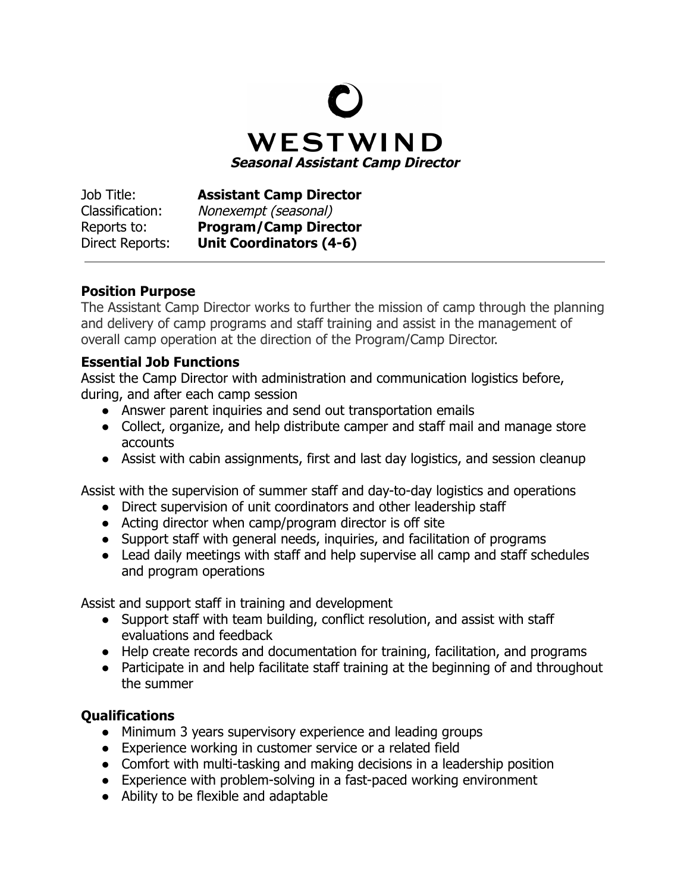

Job Title: **Assistant Camp Director** Classification: Nonexempt (seasonal) Reports to: **Program/Camp Director** Direct Reports: **Unit Coordinators (4-6)**

## **Position Purpose**

The Assistant Camp Director works to further the mission of camp through the planning and delivery of camp programs and staff training and assist in the management of overall camp operation at the direction of the Program/Camp Director.

## **Essential Job Functions**

Assist the Camp Director with administration and communication logistics before, during, and after each camp session

- Answer parent inquiries and send out transportation emails
- Collect, organize, and help distribute camper and staff mail and manage store accounts
- Assist with cabin assignments, first and last day logistics, and session cleanup

Assist with the supervision of summer staff and day-to-day logistics and operations

- Direct supervision of unit coordinators and other leadership staff
- Acting director when camp/program director is off site
- Support staff with general needs, inquiries, and facilitation of programs
- Lead daily meetings with staff and help supervise all camp and staff schedules and program operations

Assist and support staff in training and development

- Support staff with team building, conflict resolution, and assist with staff evaluations and feedback
- Help create records and documentation for training, facilitation, and programs
- Participate in and help facilitate staff training at the beginning of and throughout the summer

## **Qualifications**

- Minimum 3 years supervisory experience and leading groups
- Experience working in customer service or a related field
- Comfort with multi-tasking and making decisions in a leadership position
- Experience with problem-solving in a fast-paced working environment
- Ability to be flexible and adaptable